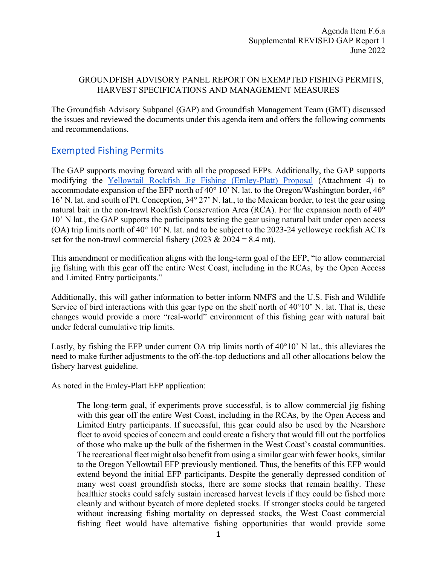### GROUNDFISH ADVISORY PANEL REPORT ON EXEMPTED FISHING PERMITS, HARVEST SPECIFICATIONS AND MANAGEMENT MEASURES

The Groundfish Advisory Subpanel (GAP) and Groundfish Management Team (GMT) discussed the issues and reviewed the documents under this agenda item and offers the following comments and recommendations.

# Exempted Fishing Permits

The GAP supports moving forward with all the proposed EFPs. Additionally, the GAP supports modifying th[e](https://www.pcouncil.org/documents/2022/05/f-6-attachment-4-groundfish-efp-proposal-yellowtail-rockfish-jig-fishing-off-california-san-francisco-community-fishing-association-and-dan-platt.pdf/) [Yellowtail Rockfish Jig Fishing \(Emley-Platt\) Proposal](https://www.pcouncil.org/documents/2022/05/f-6-attachment-4-groundfish-efp-proposal-yellowtail-rockfish-jig-fishing-off-california-san-francisco-community-fishing-association-and-dan-platt.pdf/) (Attachment 4) to accommodate expansion of the EFP north of 40° 10' N. lat. to the Oregon/Washington border, 46° 16' N. lat. and south of Pt. Conception, 34° 27' N. lat., to the Mexican border, to test the gear using natural bait in the non-trawl Rockfish Conservation Area (RCA). For the expansion north of 40° 10' N lat., the GAP supports the participants testing the gear using natural bait under open access (OA) trip limits north of 40° 10' N. lat. and to be subject to the 2023-24 yelloweye rockfish ACTs set for the non-trawl commercial fishery (2023  $& 2024 = 8.4$  mt).

This amendment or modification aligns with the long-term goal of the EFP, "to allow commercial jig fishing with this gear off the entire West Coast, including in the RCAs, by the Open Access and Limited Entry participants."

Additionally, this will gather information to better inform NMFS and the U.S. Fish and Wildlife Service of bird interactions with this gear type on the shelf north of  $40^{\circ}10'$  N. lat. That is, these changes would provide a more "real-world" environment of this fishing gear with natural bait under federal cumulative trip limits.

Lastly, by fishing the EFP under current OA trip limits north of 40°10' N lat., this alleviates the need to make further adjustments to the off-the-top deductions and all other allocations below the fishery harvest guideline.

As noted in the Emley-Platt EFP application:

The long-term goal, if experiments prove successful, is to allow commercial jig fishing with this gear off the entire West Coast, including in the RCAs, by the Open Access and Limited Entry participants. If successful, this gear could also be used by the Nearshore fleet to avoid species of concern and could create a fishery that would fill out the portfolios of those who make up the bulk of the fishermen in the West Coast's coastal communities. The recreational fleet might also benefit from using a similar gear with fewer hooks, similar to the Oregon Yellowtail EFP previously mentioned. Thus, the benefits of this EFP would extend beyond the initial EFP participants. Despite the generally depressed condition of many west coast groundfish stocks, there are some stocks that remain healthy. These healthier stocks could safely sustain increased harvest levels if they could be fished more cleanly and without bycatch of more depleted stocks. If stronger stocks could be targeted without increasing fishing mortality on depressed stocks, the West Coast commercial fishing fleet would have alternative fishing opportunities that would provide some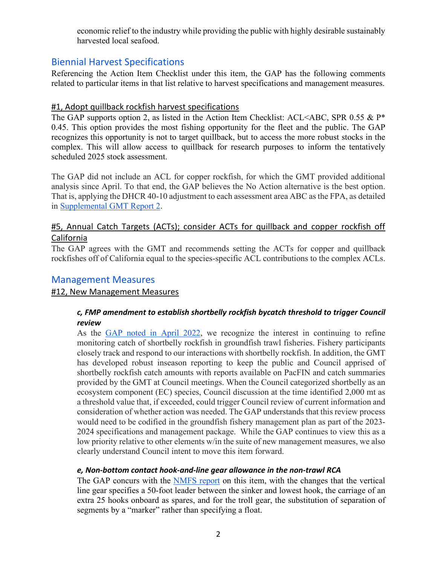economic relief to the industry while providing the public with highly desirable sustainably harvested local seafood.

# Biennial Harvest Specifications

Referencing the Action Item Checklist under this item, the GAP has the following comments related to particular items in that list relative to harvest specifications and management measures.

## #1, Adopt quillback rockfish harvest specifications

The GAP supports option 2, as listed in the Action Item Checklist: ACL<ABC, SPR 0.55 & P\* 0.45. This option provides the most fishing opportunity for the fleet and the public. The GAP recognizes this opportunity is not to target quillback, but to access the more robust stocks in the complex. This will allow access to quillback for research purposes to inform the tentatively scheduled 2025 stock assessment.

The GAP did not include an ACL for copper rockfish, for which the GMT provided additional analysis since April. To that end, the GAP believes the No Action alternative is the best option. That is, applying the DHCR 40-10 adjustment to each assessment area ABC as the FPA, as detailed in [Supplemental GMT Report 2](https://www.pcouncil.org/documents/2022/06/f-6-a-supplemental-gmt-report-2-2023-24-harvest-specifications-and-accountability-measures-for-quillback-rockfish-and-copper-rockfish-off-california.pdf/).

# #5, Annual Catch Targets (ACTs); consider ACTs for quillback and copper rockfish off California

The GAP agrees with the GMT and recommends setting the ACTs for copper and quillback rockfishes off of California equal to the species-specific ACL contributions to the complex ACLs.

# Management Measures

## #12, New Management Measures

## *c, FMP amendment to establish shortbelly rockfish bycatch threshold to trigger Council review*

As the [GAP noted in April 2022,](https://www.pcouncil.org/documents/2022/04/f-4-a-supplemental-gap-report-1-3.pdf/) we recognize the interest in continuing to refine monitoring catch of shortbelly rockfish in groundfish trawl fisheries. Fishery participants closely track and respond to our interactions with shortbelly rockfish. In addition, the GMT has developed robust inseason reporting to keep the public and Council apprised of shortbelly rockfish catch amounts with reports available on PacFIN and catch summaries provided by the GMT at Council meetings. When the Council categorized shortbelly as an ecosystem component (EC) species, Council discussion at the time identified 2,000 mt as a threshold value that, if exceeded, could trigger Council review of current information and consideration of whether action was needed. The GAP understands that this review process would need to be codified in the groundfish fishery management plan as part of the 2023- 2024 specifications and management package. While the GAP continues to view this as a low priority relative to other elements w/in the suite of new management measures, we also clearly understand Council intent to move this item forward.

## *e, Non-bottom contact hook-and-line gear allowance in the non-trawl RCA*

The GAP concurs with the **NMFS** report on this item, with the changes that the vertical line gear specifies a 50-foot leader between the sinker and lowest hook, the carriage of an extra 25 hooks onboard as spares, and for the troll gear, the substitution of separation of segments by a "marker" rather than specifying a float.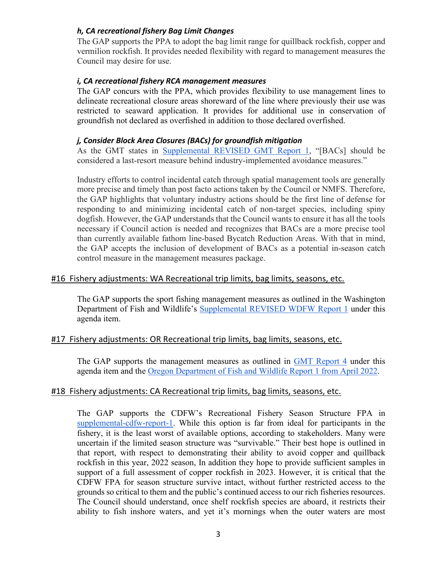### *h, CA recreational fishery Bag Limit Changes*

The GAP supports the PPA to adopt the bag limit range for quillback rockfish, copper and vermilion rockfish. It provides needed flexibility with regard to management measures the Council may desire for use.

#### *i, CA recreational fishery RCA management measures*

The GAP concurs with the PPA, which provides flexibility to use management lines to delineate recreational closure areas shoreward of the line where previously their use was restricted to seaward application. It provides for additional use in conservation of groundfish not declared as overfished in addition to those declared overfished.

#### *j, Consider Block Area Closures (BACs) for groundfish mitigation*

As the GMT states in [Supplemental REVISED GMT Report 1,](https://www.pcouncil.org/documents/2022/06/f-6-a-gmt-report-1-groundfish-management-team-report-on-block-area-closures-for-groundfish-mitigation.pdf/) "[BACs] should be considered a last-resort measure behind industry-implemented avoidance measures."

Industry efforts to control incidental catch through spatial management tools are generally more precise and timely than post facto actions taken by the Council or NMFS. Therefore, the GAP highlights that voluntary industry actions should be the first line of defense for responding to and minimizing incidental catch of non-target species, including spiny dogfish. However, the GAP understands that the Council wants to ensure it has all the tools necessary if Council action is needed and recognizes that BACs are a more precise tool than currently available fathom line-based Bycatch Reduction Areas. With that in mind, the GAP accepts the inclusion of development of BACs as a potential in-season catch control measure in the management measures package.

### #16 Fishery adjustments: WA Recreational trip limits, bag limits, seasons, etc.

The GAP supports the sport fishing management measures as outlined in the Washington Department of Fish and Wildlife's [Supplemental REVISED WDFW Report 1](https://www.pcouncil.org/documents/2022/05/f-6-a-wdfw-report-1-washington-department-of-fish-and-wildlife-report-on-2023-and-2024-groundfish-management-measures.pdf/) under this agenda item.

#### #17 Fishery adjustments: OR Recreational trip limits, bag limits, seasons, etc.

The GAP supports the management measures as outlined in [GMT Report 4](https://www.pcouncil.org/documents/2022/04/f-4-a-supplemental-gmt-report-4.pdf/) under this agenda item and the [Oregon Department of Fish and Wildlife Report 1 from April 2022.](https://www.pcouncil.org/documents/2022/03/f-4-a-odfw-report-1-oregon-department-of-fish-and-wildlife-report-on-the-2023-24-biennial-management-measures-for-the-oregon-recreational-fishery.pdf/)

## #18 Fishery adjustments: CA Recreational trip limits, bag limits, seasons, etc.

The GAP supports the CDFW's Recreational Fishery Season Structure FPA in [supplemental-cdfw-report-1.](https://www.pcouncil.org/documents/2022/06/f-6-a-supplemental-cdfw-report-1.pdf/) While this option is far from ideal for participants in the fishery, it is the least worst of available options, according to stakeholders. Many were uncertain if the limited season structure was "survivable." Their best hope is outlined in that report, with respect to demonstrating their ability to avoid copper and quillback rockfish in this year, 2022 season, In addition they hope to provide sufficient samples in support of a full assessment of copper rockfish in 2023. However, it is critical that the CDFW FPA for season structure survive intact, without further restricted access to the grounds so critical to them and the public's continued access to our rich fisheries resources. The Council should understand, once shelf rockfish species are aboard, it restricts their ability to fish inshore waters, and yet it's mornings when the outer waters are most